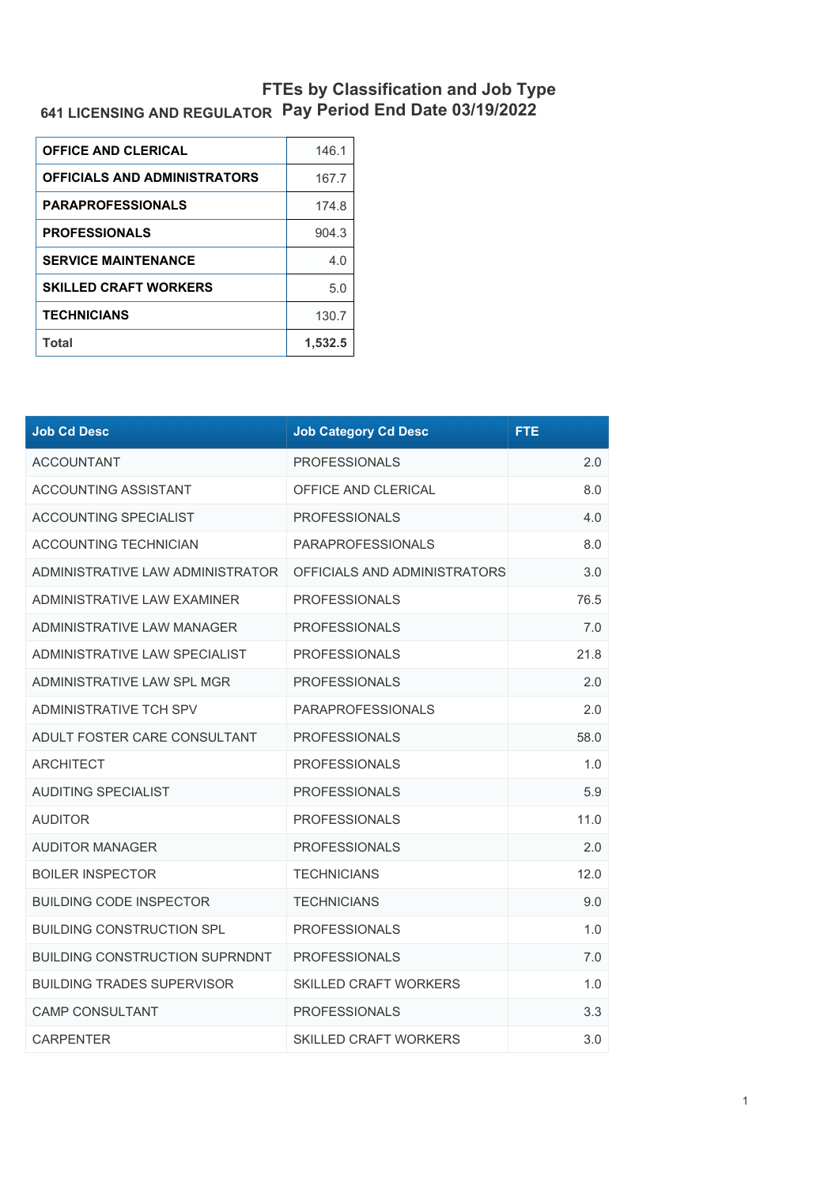## **641 LICENSING AND REGULATOR FTEs by Classification and Job Type Pay Period End Date 03/19/2022**

| <b>OFFICE AND CLERICAL</b>          | 146.1   |
|-------------------------------------|---------|
| <b>OFFICIALS AND ADMINISTRATORS</b> | 167.7   |
| <b>PARAPROFESSIONALS</b>            | 174.8   |
| <b>PROFESSIONALS</b>                | 904.3   |
| <b>SERVICE MAINTENANCE</b>          | 4.0     |
| <b>SKILLED CRAFT WORKERS</b>        | 5.0     |
| <b>TECHNICIANS</b>                  | 130.7   |
| Total                               | 1.532.5 |

| <b>Job Cd Desc</b>                    | <b>Job Category Cd Desc</b>  | <b>FTE</b> |
|---------------------------------------|------------------------------|------------|
| <b>ACCOUNTANT</b>                     | <b>PROFESSIONALS</b>         | 2.0        |
| <b>ACCOUNTING ASSISTANT</b>           | OFFICE AND CLERICAL          | 8.0        |
| ACCOUNTING SPECIALIST                 | <b>PROFESSIONALS</b>         | 4.0        |
| <b>ACCOUNTING TECHNICIAN</b>          | <b>PARAPROFESSIONALS</b>     | 8.0        |
| ADMINISTRATIVE LAW ADMINISTRATOR      | OFFICIALS AND ADMINISTRATORS | 3.0        |
| ADMINISTRATIVE LAW EXAMINER           | <b>PROFESSIONALS</b>         | 76.5       |
| ADMINISTRATIVE LAW MANAGER            | <b>PROFESSIONALS</b>         | 7.0        |
| ADMINISTRATIVE LAW SPECIALIST         | <b>PROFESSIONALS</b>         | 21.8       |
| ADMINISTRATIVE LAW SPL MGR            | <b>PROFESSIONALS</b>         | 2.0        |
| ADMINISTRATIVE TCH SPV                | <b>PARAPROFESSIONALS</b>     | 2.0        |
| ADULT FOSTER CARE CONSULTANT          | <b>PROFESSIONALS</b>         | 58.0       |
| <b>ARCHITECT</b>                      | <b>PROFESSIONALS</b>         | 1.0        |
| <b>AUDITING SPECIALIST</b>            | <b>PROFESSIONALS</b>         | 5.9        |
| <b>AUDITOR</b>                        | <b>PROFESSIONALS</b>         | 11.0       |
| <b>AUDITOR MANAGER</b>                | <b>PROFESSIONALS</b>         | 2.0        |
| <b>BOILER INSPECTOR</b>               | <b>TECHNICIANS</b>           | 12.0       |
| <b>BUILDING CODE INSPECTOR</b>        | <b>TECHNICIANS</b>           | 9.0        |
| <b>BUILDING CONSTRUCTION SPL</b>      | <b>PROFESSIONALS</b>         | 1.0        |
| <b>BUILDING CONSTRUCTION SUPRNDNT</b> | <b>PROFESSIONALS</b>         | 7.0        |
| <b>BUILDING TRADES SUPERVISOR</b>     | <b>SKILLED CRAFT WORKERS</b> | 1.0        |
| <b>CAMP CONSULTANT</b>                | <b>PROFESSIONALS</b>         | 3.3        |
| <b>CARPENTER</b>                      | <b>SKILLED CRAFT WORKERS</b> | 3.0        |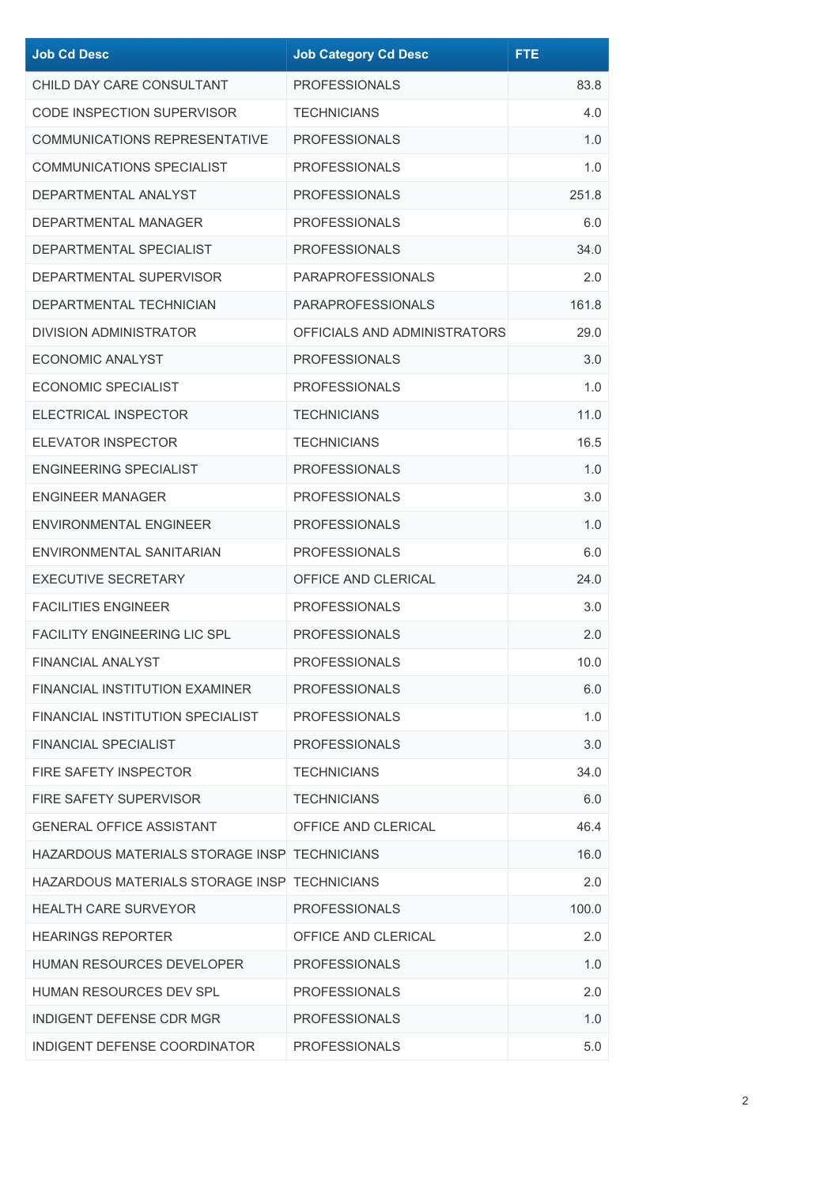| <b>Job Cd Desc</b>                           | <b>Job Category Cd Desc</b>  | <b>FTE</b> |
|----------------------------------------------|------------------------------|------------|
| CHILD DAY CARE CONSULTANT                    | <b>PROFESSIONALS</b>         | 83.8       |
| CODE INSPECTION SUPERVISOR                   | <b>TECHNICIANS</b>           | 4.0        |
| COMMUNICATIONS REPRESENTATIVE                | <b>PROFESSIONALS</b>         | 1.0        |
| <b>COMMUNICATIONS SPECIALIST</b>             | <b>PROFESSIONALS</b>         | 1.0        |
| DEPARTMENTAL ANALYST                         | <b>PROFESSIONALS</b>         | 251.8      |
| <b>DEPARTMENTAL MANAGER</b>                  | <b>PROFESSIONALS</b>         | 6.0        |
| DEPARTMENTAL SPECIALIST                      | <b>PROFESSIONALS</b>         | 34.0       |
| DEPARTMENTAL SUPERVISOR                      | <b>PARAPROFESSIONALS</b>     | 2.0        |
| DEPARTMENTAL TECHNICIAN                      | <b>PARAPROFESSIONALS</b>     | 161.8      |
| <b>DIVISION ADMINISTRATOR</b>                | OFFICIALS AND ADMINISTRATORS | 29.0       |
| ECONOMIC ANALYST                             | <b>PROFESSIONALS</b>         | 3.0        |
| <b>ECONOMIC SPECIALIST</b>                   | <b>PROFESSIONALS</b>         | 1.0        |
| <b>ELECTRICAL INSPECTOR</b>                  | <b>TECHNICIANS</b>           | 11.0       |
| <b>ELEVATOR INSPECTOR</b>                    | <b>TECHNICIANS</b>           | 16.5       |
| ENGINEERING SPECIALIST                       | <b>PROFESSIONALS</b>         | 1.0        |
| <b>ENGINEER MANAGER</b>                      | <b>PROFESSIONALS</b>         | 3.0        |
| <b>ENVIRONMENTAL ENGINEER</b>                | <b>PROFESSIONALS</b>         | 1.0        |
| ENVIRONMENTAL SANITARIAN                     | <b>PROFESSIONALS</b>         | 6.0        |
| <b>EXECUTIVE SECRETARY</b>                   | OFFICE AND CLERICAL          | 24.0       |
| <b>FACILITIES ENGINEER</b>                   | <b>PROFESSIONALS</b>         | 3.0        |
| <b>FACILITY ENGINEERING LIC SPL</b>          | <b>PROFESSIONALS</b>         | 2.0        |
| <b>FINANCIAL ANALYST</b>                     | <b>PROFESSIONALS</b>         | 10.0       |
| FINANCIAL INSTITUTION EXAMINER               | <b>PROFESSIONALS</b>         | 6.0        |
| FINANCIAL INSTITUTION SPECIALIST             | <b>PROFESSIONALS</b>         | 1.0        |
| <b>FINANCIAL SPECIALIST</b>                  | <b>PROFESSIONALS</b>         | 3.0        |
| FIRE SAFETY INSPECTOR                        | <b>TECHNICIANS</b>           | 34.0       |
| <b>FIRE SAFETY SUPERVISOR</b>                | <b>TECHNICIANS</b>           | 6.0        |
| <b>GENERAL OFFICE ASSISTANT</b>              | OFFICE AND CLERICAL          | 46.4       |
| HAZARDOUS MATERIALS STORAGE INSP TECHNICIANS |                              | 16.0       |
| HAZARDOUS MATERIALS STORAGE INSP TECHNICIANS |                              | 2.0        |
| HEALTH CARE SURVEYOR                         | <b>PROFESSIONALS</b>         | 100.0      |
| <b>HEARINGS REPORTER</b>                     | OFFICE AND CLERICAL          | 2.0        |
| HUMAN RESOURCES DEVELOPER                    | <b>PROFESSIONALS</b>         | 1.0        |
| HUMAN RESOURCES DEV SPL                      | <b>PROFESSIONALS</b>         | 2.0        |
| INDIGENT DEFENSE CDR MGR                     | <b>PROFESSIONALS</b>         | 1.0        |
| INDIGENT DEFENSE COORDINATOR                 | <b>PROFESSIONALS</b>         | $5.0$      |